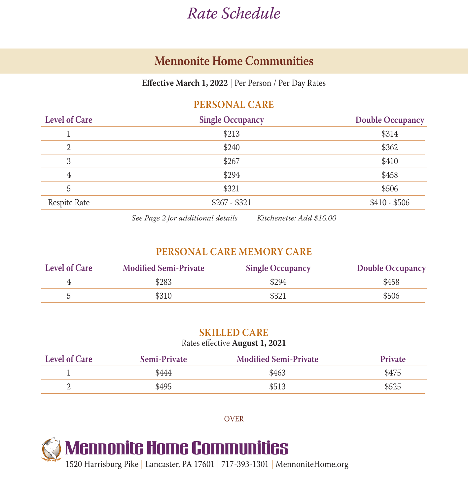# *Rate Schedule*

## **Mennonite Home Communities**

**Effective March 1, 2022** | Per Person / Per Day Rates

### **PERSONAL CARE**

| <b>Level of Care</b> | <b>Single Occupancy</b> | <b>Double Occupancy</b> |
|----------------------|-------------------------|-------------------------|
|                      | \$213                   | \$314                   |
| 2                    | \$240                   | \$362                   |
| 3                    | \$267                   | \$410                   |
| 4                    | \$294                   | \$458                   |
| 5                    | \$321                   | \$506                   |
| Respite Rate         | $$267 - $321$           | $$410 - $506$           |
|                      |                         |                         |

*See Page 2 for additional details Kitchenette: Add \$10.00*

### **PERSONAL CARE MEMORY CARE**

| <b>Level of Care</b> | <b>Modified Semi-Private</b> | <b>Single Occupancy</b> | <b>Double Occupancy</b> |
|----------------------|------------------------------|-------------------------|-------------------------|
|                      | \$283                        | \$294                   | \$458                   |
|                      | \$310                        | \$321                   | \$506                   |

#### **SKILLED CARE**

#### Rates effective **August 1, 2021**

| <b>Level of Care</b> | <b>Semi-Private</b> | <b>Modified Semi-Private</b> | <b>Private</b> |
|----------------------|---------------------|------------------------------|----------------|
|                      | 5444                | \$463                        | \$475          |
|                      | \$495               | \$513                        | \$525          |

OVER



1520 Harrisburg Pike | Lancaster, PA 17601 | 717-393-1301 | MennoniteHome.org